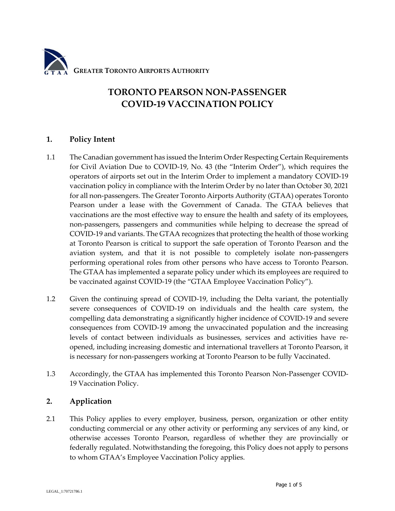

# **TORONTO PEARSON NON-PASSENGER COVID-19 VACCINATION POLICY**

## **1. Policy Intent**

- 1.1 The Canadian government has issued the Interim Order Respecting Certain Requirements for Civil Aviation Due to COVID-19, No. 43 (the "Interim Order"), which requires the operators of airports set out in the Interim Order to implement a mandatory COVID-19 vaccination policy in compliance with the Interim Order by no later than October 30, 2021 for all non-passengers. The Greater Toronto Airports Authority (GTAA) operates Toronto Pearson under a lease with the Government of Canada. The GTAA believes that vaccinations are the most effective way to ensure the health and safety of its employees, non-passengers, passengers and communities while helping to decrease the spread of COVID-19 and variants. The GTAA recognizes that protecting the health of those working at Toronto Pearson is critical to support the safe operation of Toronto Pearson and the aviation system, and that it is not possible to completely isolate non-passengers performing operational roles from other persons who have access to Toronto Pearson. The GTAA has implemented a separate policy under which its employees are required to be vaccinated against COVID-19 (the "GTAA Employee Vaccination Policy").
- 1.2 Given the continuing spread of COVID-19, including the Delta variant, the potentially severe consequences of COVID-19 on individuals and the health care system, the compelling data demonstrating a significantly higher incidence of COVID-19 and severe consequences from COVID-19 among the unvaccinated population and the increasing levels of contact between individuals as businesses, services and activities have reopened, including increasing domestic and international travellers at Toronto Pearson, it is necessary for non-passengers working at Toronto Pearson to be fully Vaccinated.
- 1.3 Accordingly, the GTAA has implemented this Toronto Pearson Non-Passenger COVID-19 Vaccination Policy.

# **2. Application**

2.1 This Policy applies to every employer, business, person, organization or other entity conducting commercial or any other activity or performing any services of any kind, or otherwise accesses Toronto Pearson, regardless of whether they are provincially or federally regulated. Notwithstanding the foregoing, this Policy does not apply to persons to whom GTAA's Employee Vaccination Policy applies.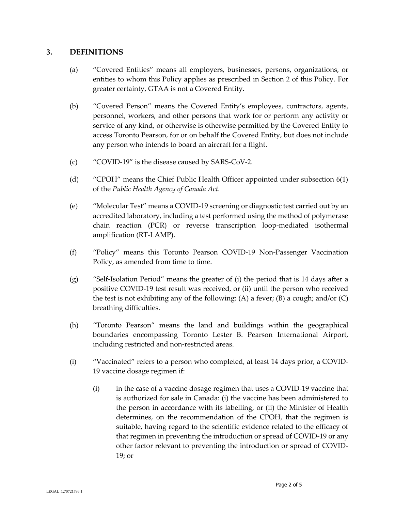# **3. DEFINITIONS**

- (a) "Covered Entities" means all employers, businesses, persons, organizations, or entities to whom this Policy applies as prescribed in Section 2 of this Policy. For greater certainty, GTAA is not a Covered Entity.
- (b) "Covered Person" means the Covered Entity's employees, contractors, agents, personnel, workers, and other persons that work for or perform any activity or service of any kind, or otherwise is otherwise permitted by the Covered Entity to access Toronto Pearson, for or on behalf the Covered Entity, but does not include any person who intends to board an aircraft for a flight.
- (c) "COVID-19" is the disease caused by SARS-CoV-2.
- (d) "CPOH" means the Chief Public Health Officer appointed under subsection 6(1) of the *Public Health Agency of Canada Act.*
- (e) "Molecular Test" means a COVID-19 screening or diagnostic test carried out by an accredited laboratory, including a test performed using the method of polymerase chain reaction (PCR) or reverse transcription loop-mediated isothermal amplification (RT-LAMP).
- (f) "Policy" means this Toronto Pearson COVID-19 Non-Passenger Vaccination Policy, as amended from time to time.
- (g) "Self-Isolation Period" means the greater of (i) the period that is 14 days after a positive COVID-19 test result was received, or (ii) until the person who received the test is not exhibiting any of the following:  $(A)$  a fever;  $(B)$  a cough; and/or  $(C)$ breathing difficulties.
- (h) "Toronto Pearson" means the land and buildings within the geographical boundaries encompassing Toronto Lester B. Pearson International Airport, including restricted and non-restricted areas.
- (i) "Vaccinated" refers to a person who completed, at least 14 days prior, a COVID-19 vaccine dosage regimen if:
	- (i) in the case of a vaccine dosage regimen that uses a COVID-19 vaccine that is authorized for sale in Canada: (i) the vaccine has been administered to the person in accordance with its labelling, or (ii) the Minister of Health determines, on the recommendation of the CPOH, that the regimen is suitable, having regard to the scientific evidence related to the efficacy of that regimen in preventing the introduction or spread of COVID-19 or any other factor relevant to preventing the introduction or spread of COVID-19; or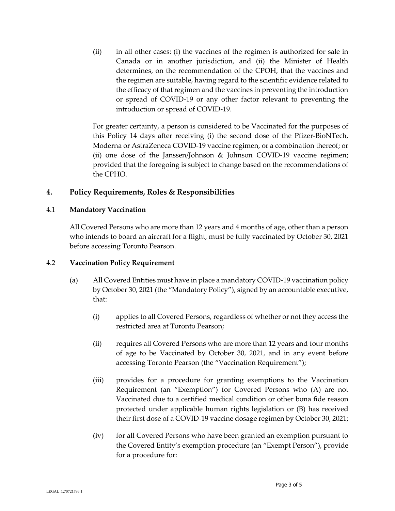(ii) in all other cases: (i) the vaccines of the regimen is authorized for sale in Canada or in another jurisdiction, and (ii) the Minister of Health determines, on the recommendation of the CPOH, that the vaccines and the regimen are suitable, having regard to the scientific evidence related to the efficacy of that regimen and the vaccines in preventing the introduction or spread of COVID-19 or any other factor relevant to preventing the introduction or spread of COVID-19.

For greater certainty, a person is considered to be Vaccinated for the purposes of this Policy 14 days after receiving (i) the second dose of the Pfizer-BioNTech, Moderna or AstraZeneca COVID-19 vaccine regimen, or a combination thereof; or (ii) one dose of the Janssen/Johnson & Johnson COVID-19 vaccine regimen; provided that the foregoing is subject to change based on the recommendations of the CPHO.

## **4. Policy Requirements, Roles & Responsibilities**

#### 4.1 **Mandatory Vaccination**

All Covered Persons who are more than 12 years and 4 months of age, other than a person who intends to board an aircraft for a flight, must be fully vaccinated by October 30, 2021 before accessing Toronto Pearson.

#### 4.2 **Vaccination Policy Requirement**

- (a) All Covered Entities must have in place a mandatory COVID-19 vaccination policy by October 30, 2021 (the "Mandatory Policy"), signed by an accountable executive, that:
	- (i) applies to all Covered Persons, regardless of whether or not they access the restricted area at Toronto Pearson;
	- (ii) requires all Covered Persons who are more than 12 years and four months of age to be Vaccinated by October 30, 2021, and in any event before accessing Toronto Pearson (the "Vaccination Requirement");
	- (iii) provides for a procedure for granting exemptions to the Vaccination Requirement (an "Exemption") for Covered Persons who (A) are not Vaccinated due to a certified medical condition or other bona fide reason protected under applicable human rights legislation or (B) has received their first dose of a COVID-19 vaccine dosage regimen by October 30, 2021;
	- (iv) for all Covered Persons who have been granted an exemption pursuant to the Covered Entity's exemption procedure (an "Exempt Person"), provide for a procedure for: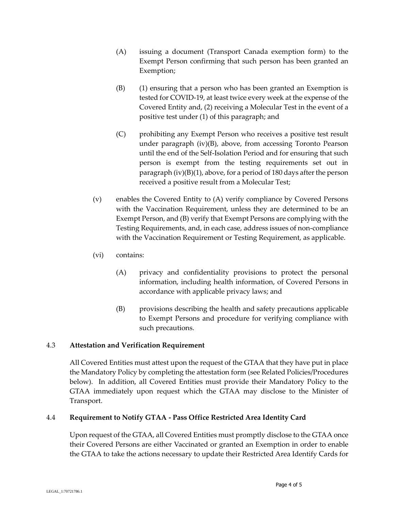- (A) issuing a document (Transport Canada exemption form) to the Exempt Person confirming that such person has been granted an Exemption;
- (B) (1) ensuring that a person who has been granted an Exemption is tested for COVID-19, at least twice every week at the expense of the Covered Entity and, (2) receiving a Molecular Test in the event of a positive test under (1) of this paragraph; and
- (C) prohibiting any Exempt Person who receives a positive test result under paragraph (iv)(B), above, from accessing Toronto Pearson until the end of the Self-Isolation Period and for ensuring that such person is exempt from the testing requirements set out in paragraph (iv)(B)(1), above, for a period of 180 days after the person received a positive result from a Molecular Test;
- (v) enables the Covered Entity to (A) verify compliance by Covered Persons with the Vaccination Requirement, unless they are determined to be an Exempt Person, and (B) verify that Exempt Persons are complying with the Testing Requirements, and, in each case, address issues of non-compliance with the Vaccination Requirement or Testing Requirement, as applicable.
- (vi) contains:
	- (A) privacy and confidentiality provisions to protect the personal information, including health information, of Covered Persons in accordance with applicable privacy laws; and
	- (B) provisions describing the health and safety precautions applicable to Exempt Persons and procedure for verifying compliance with such precautions.

# 4.3 **Attestation and Verification Requirement**

All Covered Entities must attest upon the request of the GTAA that they have put in place the Mandatory Policy by completing the attestation form (see Related Policies/Procedures below). In addition, all Covered Entities must provide their Mandatory Policy to the GTAA immediately upon request which the GTAA may disclose to the Minister of Transport.

#### 4.4 **Requirement to Notify GTAA - Pass Office Restricted Area Identity Card**

Upon request of the GTAA, all Covered Entities must promptly disclose to the GTAA once their Covered Persons are either Vaccinated or granted an Exemption in order to enable the GTAA to take the actions necessary to update their Restricted Area Identify Cards for